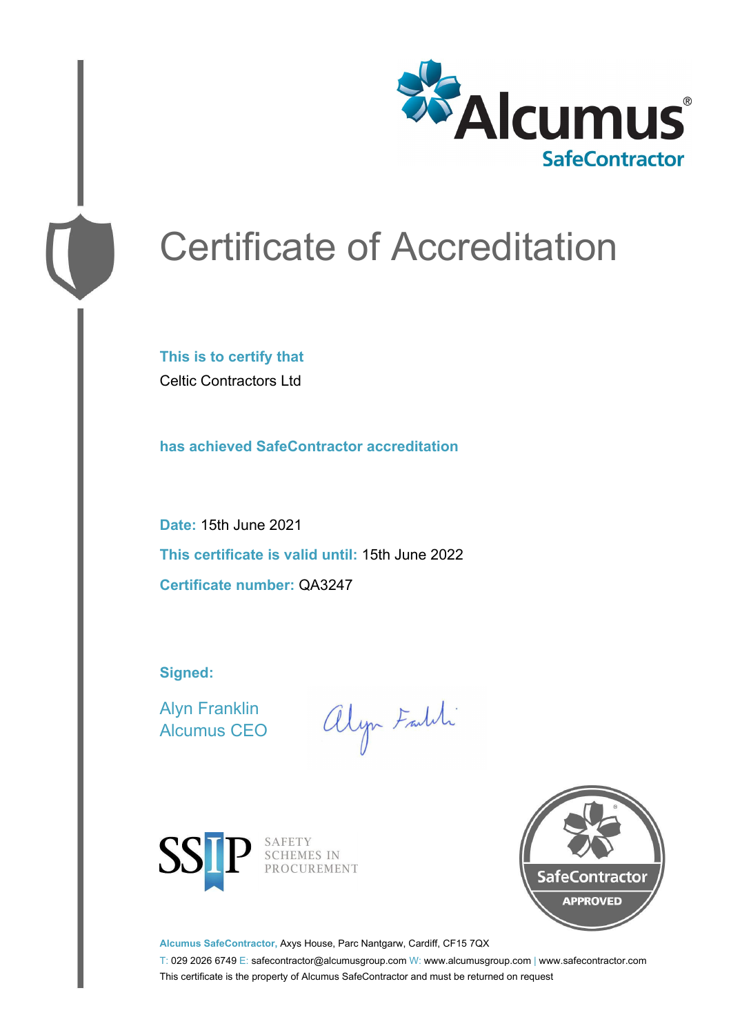

# Certificate of Accreditation

**This is to certify that** Celtic Contractors Ltd

**has achieved SafeContractor accreditation**

**Date:** 15th June 2021 **This certificate is valid until:** 15th June 2022 **Certificate number:** QA3247

**Signed:**

Alyn Franklin Alcumus CEO

alyn Faith



SAFETY<br>SCHEMES IN PROCUREMENT



**Alcumus SafeContractor,** Axys House, Parc Nantgarw, Cardiff, CF15 7QX

T: 029 2026 6749 E: safecontractor@alcumusgroup.com W: www.alcumusgroup.com | www.safecontractor.com This certificate is the property of Alcumus SafeContractor and must be returned on request